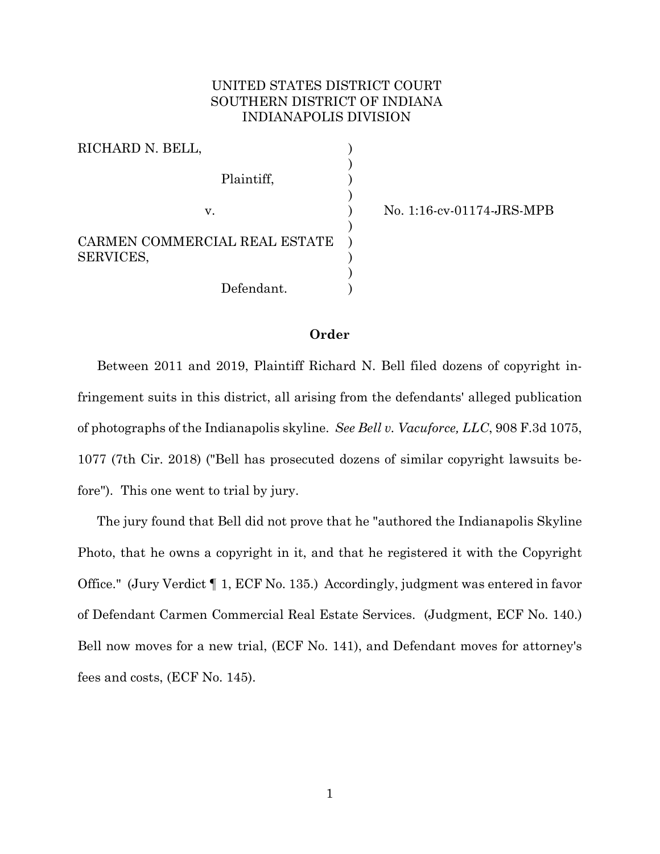# UNITED STATES DISTRICT COURT SOUTHERN DISTRICT OF INDIANA INDIANAPOLIS DIVISION

| RICHARD N. BELL,                           |  |
|--------------------------------------------|--|
| Plaintiff,                                 |  |
| V.                                         |  |
| CARMEN COMMERCIAL REAL ESTATE<br>SERVICES, |  |
| Defendant.                                 |  |

v. ) No. 1:16-cv-01174-JRS-MPB

### **Order**

Between 2011 and 2019, Plaintiff Richard N. Bell filed dozens of copyright infringement suits in this district, all arising from the defendants' alleged publication of photographs of the Indianapolis skyline. *See Bell v. Vacuforce, LLC*, 908 F.3d 1075, 1077 (7th Cir. 2018) ("Bell has prosecuted dozens of similar copyright lawsuits before"). This one went to trial by jury.

The jury found that Bell did not prove that he "authored the Indianapolis Skyline Photo, that he owns a copyright in it, and that he registered it with the Copyright Office." (Jury Verdict ¶ 1, ECF No. 135.) Accordingly, judgment was entered in favor of Defendant Carmen Commercial Real Estate Services. (Judgment, ECF No. 140.) Bell now moves for a new trial, (ECF No. 141), and Defendant moves for attorney's fees and costs, (ECF No. 145).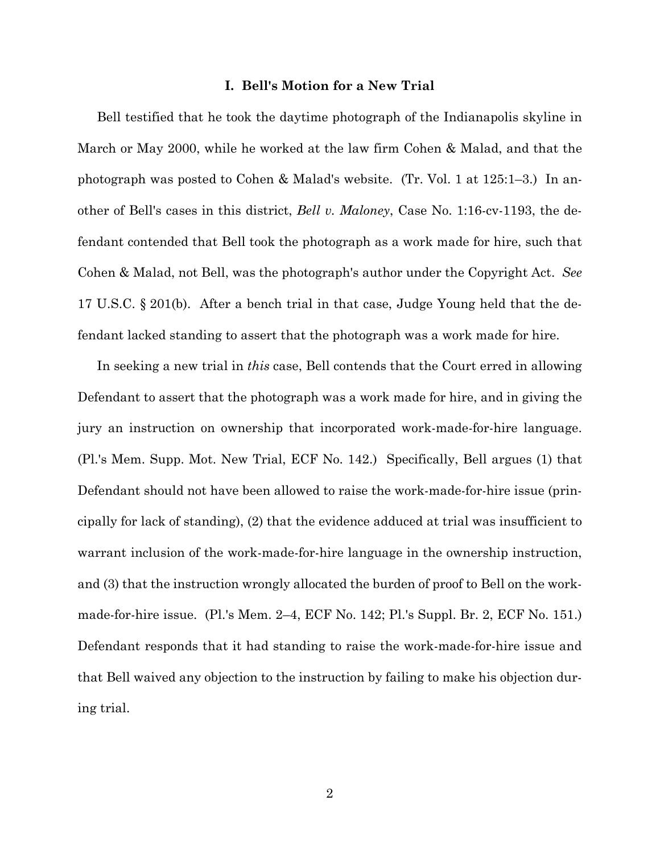### **I. Bell's Motion for a New Trial**

Bell testified that he took the daytime photograph of the Indianapolis skyline in March or May 2000, while he worked at the law firm Cohen & Malad, and that the photograph was posted to Cohen & Malad's website. (Tr. Vol. 1 at 125:1–3.) In another of Bell's cases in this district, *Bell v. Maloney*, Case No. 1:16-cv-1193, the defendant contended that Bell took the photograph as a work made for hire, such that Cohen & Malad, not Bell, was the photograph's author under the Copyright Act. *See*  17 U.S.C. § 201(b). After a bench trial in that case, Judge Young held that the defendant lacked standing to assert that the photograph was a work made for hire.

In seeking a new trial in *this* case, Bell contends that the Court erred in allowing Defendant to assert that the photograph was a work made for hire, and in giving the jury an instruction on ownership that incorporated work-made-for-hire language. (Pl.'s Mem. Supp. Mot. New Trial, ECF No. 142.) Specifically, Bell argues (1) that Defendant should not have been allowed to raise the work-made-for-hire issue (principally for lack of standing), (2) that the evidence adduced at trial was insufficient to warrant inclusion of the work-made-for-hire language in the ownership instruction, and (3) that the instruction wrongly allocated the burden of proof to Bell on the workmade-for-hire issue. (Pl.'s Mem. 2–4, ECF No. 142; Pl.'s Suppl. Br. 2, ECF No. 151.) Defendant responds that it had standing to raise the work-made-for-hire issue and that Bell waived any objection to the instruction by failing to make his objection during trial.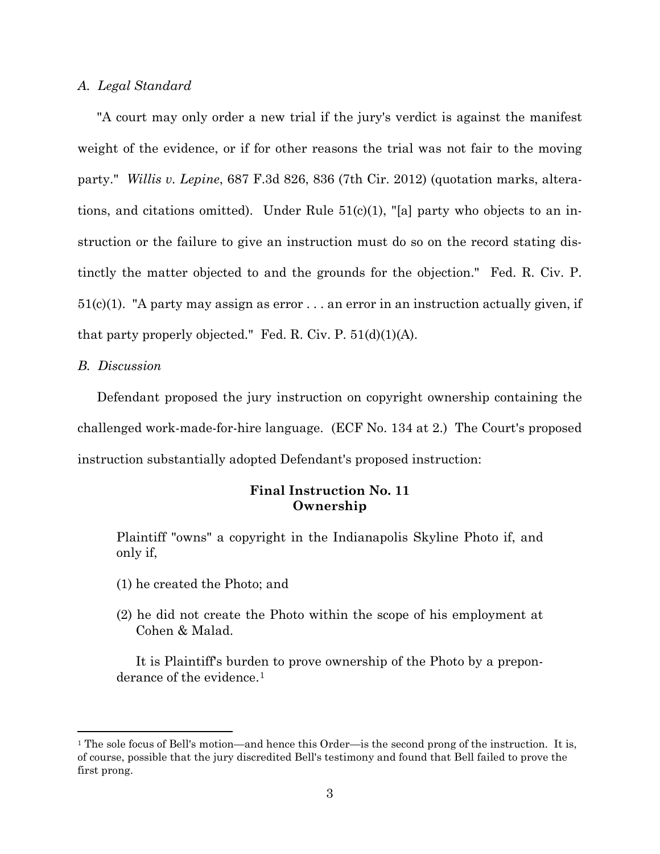### *A. Legal Standard*

"A court may only order a new trial if the jury's verdict is against the manifest weight of the evidence, or if for other reasons the trial was not fair to the moving party." *Willis v. Lepine*, 687 F.3d 826, 836 (7th Cir. 2012) (quotation marks, alterations, and citations omitted). Under Rule  $51(c)(1)$ , "[a] party who objects to an instruction or the failure to give an instruction must do so on the record stating distinctly the matter objected to and the grounds for the objection." Fed. R. Civ. P.  $51(c)(1)$ . "A party may assign as error ... an error in an instruction actually given, if that party properly objected." Fed. R. Civ. P.  $51(d)(1)(A)$ .

### *B. Discussion*

Defendant proposed the jury instruction on copyright ownership containing the challenged work-made-for-hire language. (ECF No. 134 at 2.) The Court's proposed instruction substantially adopted Defendant's proposed instruction:

## **Final Instruction No. 11 Ownership**

Plaintiff "owns" a copyright in the Indianapolis Skyline Photo if, and only if,

- (1) he created the Photo; and
- (2) he did not create the Photo within the scope of his employment at Cohen & Malad.

It is Plaintiff's burden to prove ownership of the Photo by a prepon-derance of the evidence.<sup>[1](#page-2-0)</sup>

<span id="page-2-0"></span><sup>&</sup>lt;sup>1</sup> The sole focus of Bell's motion—and hence this Order—is the second prong of the instruction. It is, of course, possible that the jury discredited Bell's testimony and found that Bell failed to prove the first prong.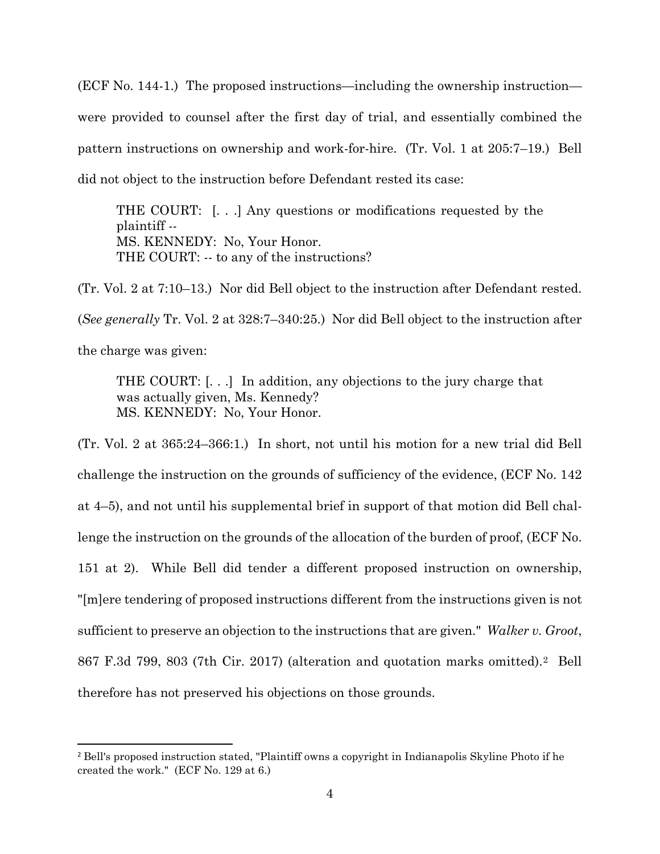(ECF No. 144-1.) The proposed instructions—including the ownership instruction were provided to counsel after the first day of trial, and essentially combined the pattern instructions on ownership and work-for-hire. (Tr. Vol. 1 at 205:7–19.) Bell did not object to the instruction before Defendant rested its case:

THE COURT: [. . .] Any questions or modifications requested by the plaintiff -- MS. KENNEDY: No, Your Honor. THE COURT: -- to any of the instructions?

(Tr. Vol. 2 at 7:10–13.) Nor did Bell object to the instruction after Defendant rested. (*See generally* Tr. Vol. 2 at 328:7–340:25.) Nor did Bell object to the instruction after the charge was given:

THE COURT: [. . .] In addition, any objections to the jury charge that was actually given, Ms. Kennedy? MS. KENNEDY: No, Your Honor.

(Tr. Vol. 2 at 365:24–366:1.) In short, not until his motion for a new trial did Bell challenge the instruction on the grounds of sufficiency of the evidence, (ECF No. 142 at 4–5), and not until his supplemental brief in support of that motion did Bell challenge the instruction on the grounds of the allocation of the burden of proof, (ECF No. 151 at 2). While Bell did tender a different proposed instruction on ownership, "[m]ere tendering of proposed instructions different from the instructions given is not sufficient to preserve an objection to the instructions that are given." *Walker v. Groot*, 867 F.3d 799, 803 (7th Cir. 2017) (alteration and quotation marks omitted).[2](#page-3-0) Bell therefore has not preserved his objections on those grounds.

<span id="page-3-0"></span><sup>2</sup> Bell's proposed instruction stated, "Plaintiff owns a copyright in Indianapolis Skyline Photo if he created the work." (ECF No. 129 at 6.)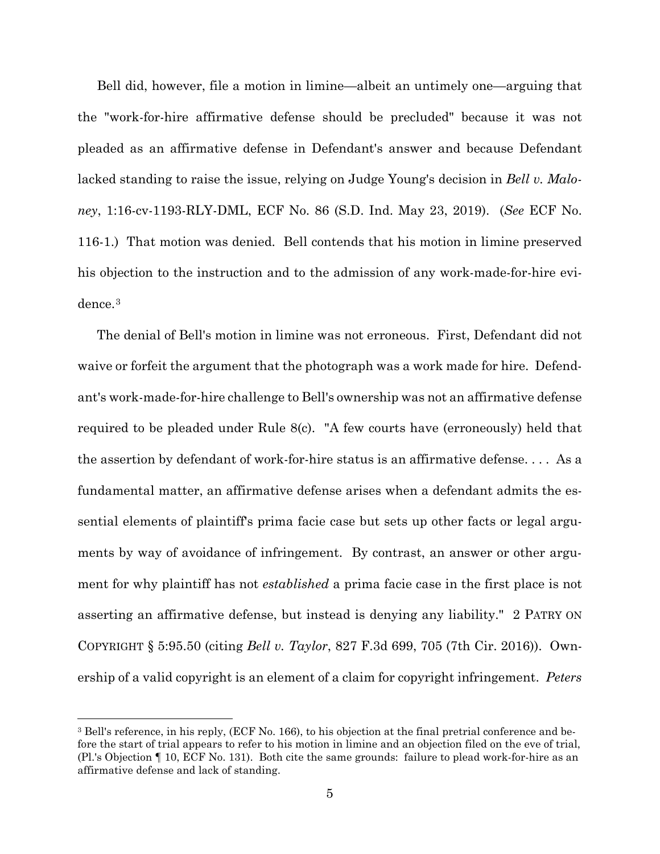Bell did, however, file a motion in limine—albeit an untimely one—arguing that the "work-for-hire affirmative defense should be precluded" because it was not pleaded as an affirmative defense in Defendant's answer and because Defendant lacked standing to raise the issue, relying on Judge Young's decision in *Bell v. Maloney*, 1:16-cv-1193-RLY-DML, ECF No. 86 (S.D. Ind. May 23, 2019). (*See* ECF No. 116-1.) That motion was denied. Bell contends that his motion in limine preserved his objection to the instruction and to the admission of any work-made-for-hire evidence.[3](#page-4-0)

The denial of Bell's motion in limine was not erroneous. First, Defendant did not waive or forfeit the argument that the photograph was a work made for hire. Defendant's work-made-for-hire challenge to Bell's ownership was not an affirmative defense required to be pleaded under Rule 8(c). "A few courts have (erroneously) held that the assertion by defendant of work-for-hire status is an affirmative defense. . . . As a fundamental matter, an affirmative defense arises when a defendant admits the essential elements of plaintiff's prima facie case but sets up other facts or legal arguments by way of avoidance of infringement. By contrast, an answer or other argument for why plaintiff has not *established* a prima facie case in the first place is not asserting an affirmative defense, but instead is denying any liability." 2 PATRY ON COPYRIGHT § 5:95.50 (citing *Bell v. Taylor*, 827 F.3d 699, 705 (7th Cir. 2016)). Ownership of a valid copyright is an element of a claim for copyright infringement. *Peters* 

<span id="page-4-0"></span><sup>3</sup> Bell's reference, in his reply, (ECF No. 166), to his objection at the final pretrial conference and before the start of trial appears to refer to his motion in limine and an objection filed on the eve of trial, (Pl.'s Objection ¶ 10, ECF No. 131). Both cite the same grounds: failure to plead work-for-hire as an affirmative defense and lack of standing.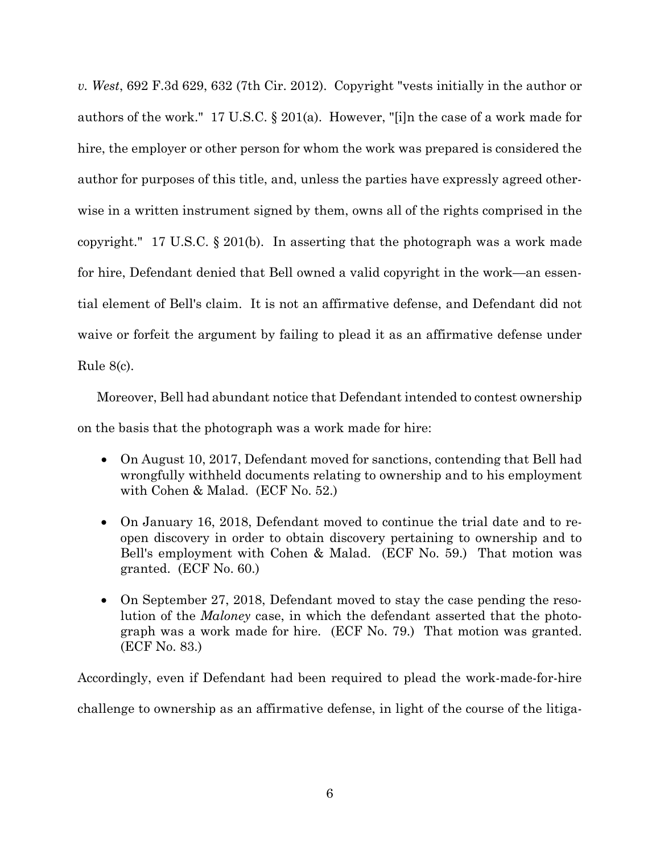*v. West*, 692 F.3d 629, 632 (7th Cir. 2012). Copyright "vests initially in the author or authors of the work." 17 U.S.C. § 201(a). However, "[i]n the case of a work made for hire, the employer or other person for whom the work was prepared is considered the author for purposes of this title, and, unless the parties have expressly agreed otherwise in a written instrument signed by them, owns all of the rights comprised in the copyright." 17 U.S.C. § 201(b). In asserting that the photograph was a work made for hire, Defendant denied that Bell owned a valid copyright in the work—an essential element of Bell's claim. It is not an affirmative defense, and Defendant did not waive or forfeit the argument by failing to plead it as an affirmative defense under Rule 8(c).

Moreover, Bell had abundant notice that Defendant intended to contest ownership on the basis that the photograph was a work made for hire:

- On August 10, 2017, Defendant moved for sanctions, contending that Bell had wrongfully withheld documents relating to ownership and to his employment with Cohen & Malad. (ECF No. 52.)
- On January 16, 2018, Defendant moved to continue the trial date and to reopen discovery in order to obtain discovery pertaining to ownership and to Bell's employment with Cohen & Malad. (ECF No. 59.) That motion was granted. (ECF No. 60.)
- On September 27, 2018, Defendant moved to stay the case pending the resolution of the *Maloney* case, in which the defendant asserted that the photograph was a work made for hire. (ECF No. 79.) That motion was granted. (ECF No. 83.)

Accordingly, even if Defendant had been required to plead the work-made-for-hire challenge to ownership as an affirmative defense, in light of the course of the litiga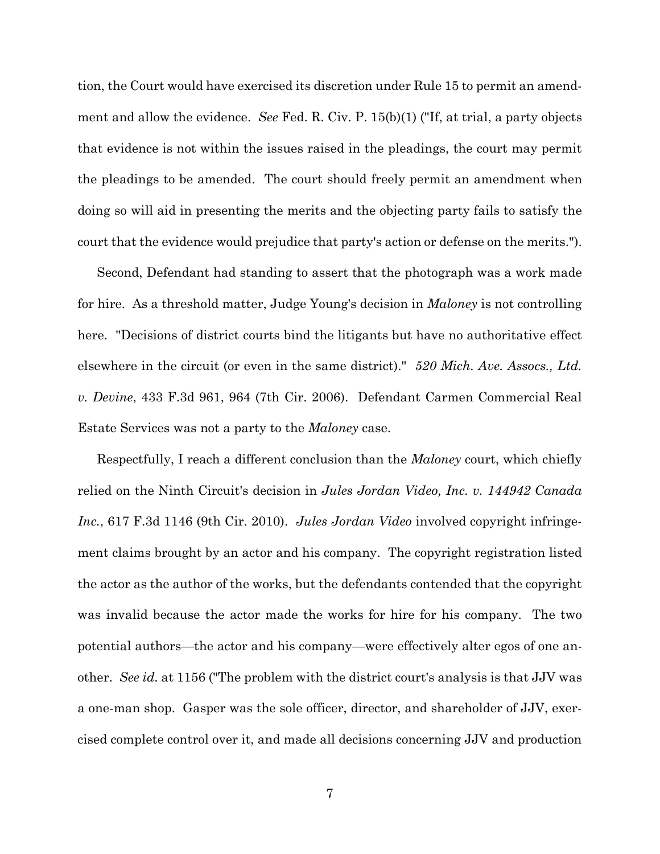tion, the Court would have exercised its discretion under Rule 15 to permit an amendment and allow the evidence. *See* Fed. R. Civ. P. 15(b)(1) ("If, at trial, a party objects that evidence is not within the issues raised in the pleadings, the court may permit the pleadings to be amended. The court should freely permit an amendment when doing so will aid in presenting the merits and the objecting party fails to satisfy the court that the evidence would prejudice that party's action or defense on the merits.").

Second, Defendant had standing to assert that the photograph was a work made for hire. As a threshold matter, Judge Young's decision in *Maloney* is not controlling here. "Decisions of district courts bind the litigants but have no authoritative effect elsewhere in the circuit (or even in the same district)." *520 Mich. Ave. Assocs., Ltd. v. Devine*, 433 F.3d 961, 964 (7th Cir. 2006). Defendant Carmen Commercial Real Estate Services was not a party to the *Maloney* case.

Respectfully, I reach a different conclusion than the *Maloney* court, which chiefly relied on the Ninth Circuit's decision in *Jules Jordan Video, Inc. v. 144942 Canada Inc.*, 617 F.3d 1146 (9th Cir. 2010). *Jules Jordan Video* involved copyright infringement claims brought by an actor and his company. The copyright registration listed the actor as the author of the works, but the defendants contended that the copyright was invalid because the actor made the works for hire for his company. The two potential authors—the actor and his company—were effectively alter egos of one another. *See id.* at 1156 ("The problem with the district court's analysis is that JJV was a one-man shop. Gasper was the sole officer, director, and shareholder of JJV, exercised complete control over it, and made all decisions concerning JJV and production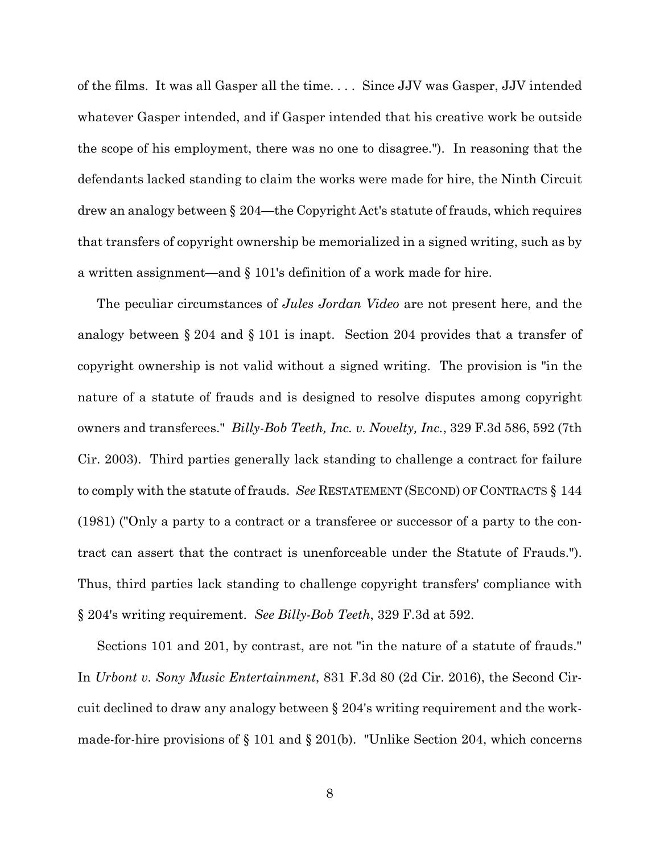of the films. It was all Gasper all the time. . . . Since JJV was Gasper, JJV intended whatever Gasper intended, and if Gasper intended that his creative work be outside the scope of his employment, there was no one to disagree."). In reasoning that the defendants lacked standing to claim the works were made for hire, the Ninth Circuit drew an analogy between § 204—the Copyright Act's statute of frauds, which requires that transfers of copyright ownership be memorialized in a signed writing, such as by a written assignment—and § 101's definition of a work made for hire.

The peculiar circumstances of *Jules Jordan Video* are not present here, and the analogy between § 204 and § 101 is inapt. Section 204 provides that a transfer of copyright ownership is not valid without a signed writing. The provision is "in the nature of a statute of frauds and is designed to resolve disputes among copyright owners and transferees." *Billy-Bob Teeth, Inc. v. Novelty, Inc.*, 329 F.3d 586, 592 (7th Cir. 2003). Third parties generally lack standing to challenge a contract for failure to comply with the statute of frauds. *See* RESTATEMENT (SECOND) OF CONTRACTS § 144 (1981) ("Only a party to a contract or a transferee or successor of a party to the contract can assert that the contract is unenforceable under the Statute of Frauds."). Thus, third parties lack standing to challenge copyright transfers' compliance with § 204's writing requirement. *See Billy-Bob Teeth*, 329 F.3d at 592.

Sections 101 and 201, by contrast, are not "in the nature of a statute of frauds." In *Urbont v. Sony Music Entertainment*, 831 F.3d 80 (2d Cir. 2016), the Second Circuit declined to draw any analogy between § 204's writing requirement and the workmade-for-hire provisions of § 101 and § 201(b). "Unlike Section 204, which concerns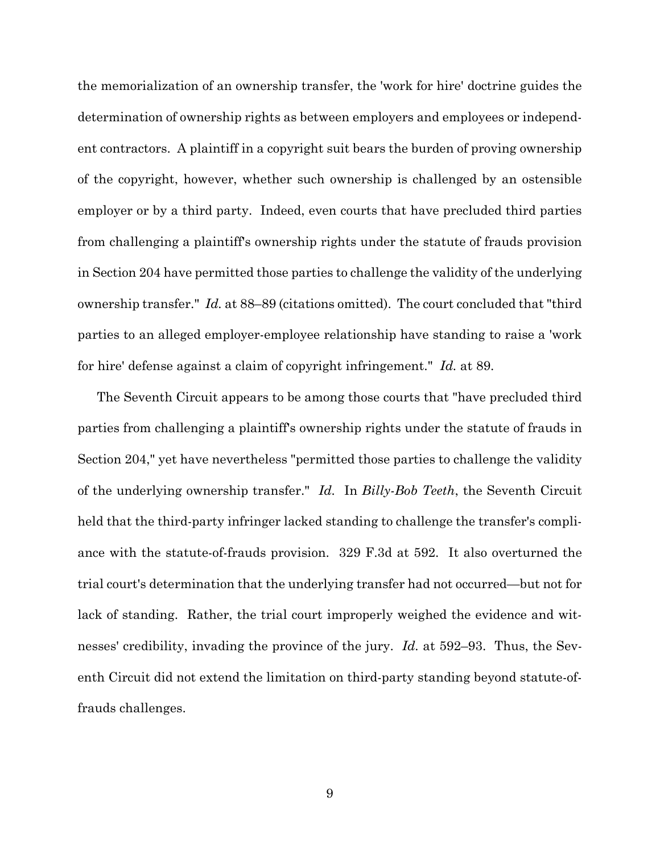the memorialization of an ownership transfer, the 'work for hire' doctrine guides the determination of ownership rights as between employers and employees or independent contractors. A plaintiff in a copyright suit bears the burden of proving ownership of the copyright, however, whether such ownership is challenged by an ostensible employer or by a third party. Indeed, even courts that have precluded third parties from challenging a plaintiff's ownership rights under the statute of frauds provision in Section 204 have permitted those parties to challenge the validity of the underlying ownership transfer." *Id.* at 88–89 (citations omitted). The court concluded that "third parties to an alleged employer-employee relationship have standing to raise a 'work for hire' defense against a claim of copyright infringement." *Id.* at 89.

The Seventh Circuit appears to be among those courts that "have precluded third parties from challenging a plaintiff's ownership rights under the statute of frauds in Section 204," yet have nevertheless "permitted those parties to challenge the validity of the underlying ownership transfer." *Id.* In *Billy-Bob Teeth*, the Seventh Circuit held that the third-party infringer lacked standing to challenge the transfer's compliance with the statute-of-frauds provision. 329 F.3d at 592. It also overturned the trial court's determination that the underlying transfer had not occurred—but not for lack of standing. Rather, the trial court improperly weighed the evidence and witnesses' credibility, invading the province of the jury. *Id.* at 592–93. Thus, the Seventh Circuit did not extend the limitation on third-party standing beyond statute-offrauds challenges.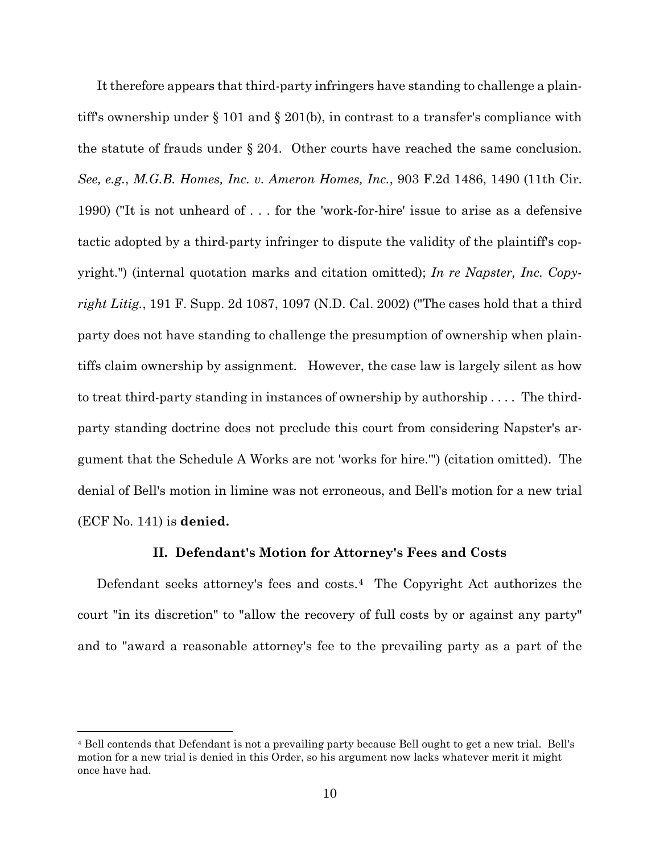It therefore appears that third-party infringers have standing to challenge a plaintiff's ownership under § 101 and § 201(b), in contrast to a transfer's compliance with the statute of frauds under § 204. Other courts have reached the same conclusion. *See, e.g.*, *M.G.B. Homes, Inc. v. Ameron Homes, Inc.*, 903 F.2d 1486, 1490 (11th Cir. 1990) ("It is not unheard of . . . for the 'work-for-hire' issue to arise as a defensive tactic adopted by a third-party infringer to dispute the validity of the plaintiff's copyright.") (internal quotation marks and citation omitted); *In re Napster, Inc. Copyright Litig.*, 191 F. Supp. 2d 1087, 1097 (N.D. Cal. 2002) ("The cases hold that a third party does not have standing to challenge the presumption of ownership when plaintiffs claim ownership by assignment. However, the case law is largely silent as how to treat third-party standing in instances of ownership by authorship . . . . The thirdparty standing doctrine does not preclude this court from considering Napster's argument that the Schedule A Works are not 'works for hire.'") (citation omitted). The denial of Bell's motion in limine was not erroneous, and Bell's motion for a new trial (ECF No. 141) is **denied.**

#### **II. Defendant's Motion for Attorney's Fees and Costs**

Defendant seeks attorney's fees and costs.[4](#page-9-0) The Copyright Act authorizes the court "in its discretion" to "allow the recovery of full costs by or against any party" and to "award a reasonable attorney's fee to the prevailing party as a part of the

<span id="page-9-0"></span><sup>4</sup> Bell contends that Defendant is not a prevailing party because Bell ought to get a new trial. Bell's motion for a new trial is denied in this Order, so his argument now lacks whatever merit it might once have had.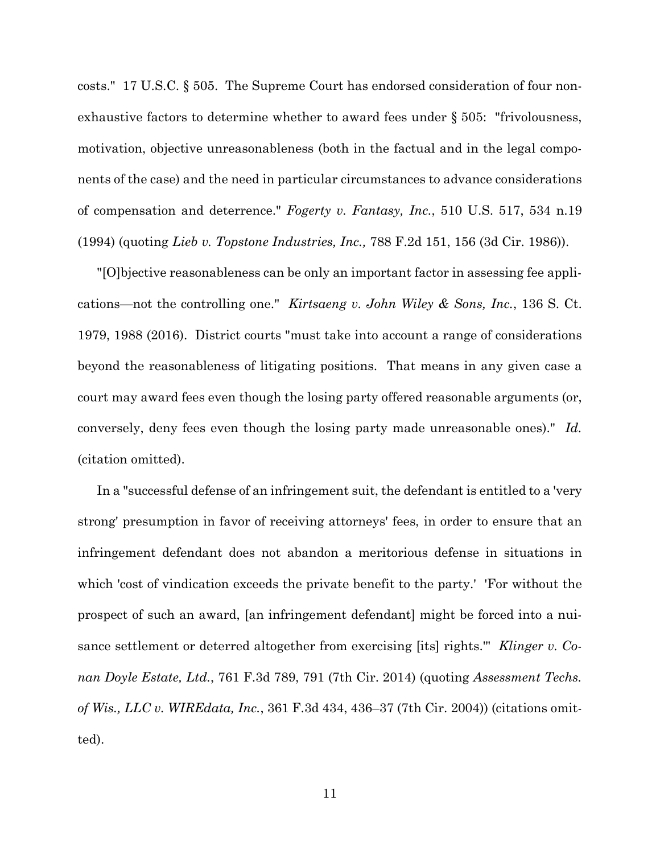costs." 17 U.S.C. § 505. The Supreme Court has endorsed consideration of four nonexhaustive factors to determine whether to award fees under § 505: "frivolousness, motivation, objective unreasonableness (both in the factual and in the legal components of the case) and the need in particular circumstances to advance considerations of compensation and deterrence." *Fogerty v. Fantasy, Inc.*, 510 U.S. 517, 534 n.19 (1994) (quoting *Lieb v. Topstone Industries, Inc.,* 788 F.2d 151, 156 (3d Cir. 1986)).

"[O]bjective reasonableness can be only an important factor in assessing fee applications—not the controlling one." *Kirtsaeng v. John Wiley & Sons, Inc.*, 136 S. Ct. 1979, 1988 (2016). District courts "must take into account a range of considerations beyond the reasonableness of litigating positions. That means in any given case a court may award fees even though the losing party offered reasonable arguments (or, conversely, deny fees even though the losing party made unreasonable ones)." *Id.*  (citation omitted).

In a "successful defense of an infringement suit, the defendant is entitled to a 'very strong' presumption in favor of receiving attorneys' fees, in order to ensure that an infringement defendant does not abandon a meritorious defense in situations in which 'cost of vindication exceeds the private benefit to the party.' 'For without the prospect of such an award, [an infringement defendant] might be forced into a nuisance settlement or deterred altogether from exercising [its] rights.'" *Klinger v. Conan Doyle Estate, Ltd.*, 761 F.3d 789, 791 (7th Cir. 2014) (quoting *Assessment Techs. of Wis., LLC v. WIREdata, Inc.*, 361 F.3d 434, 436–37 (7th Cir. 2004)) (citations omitted).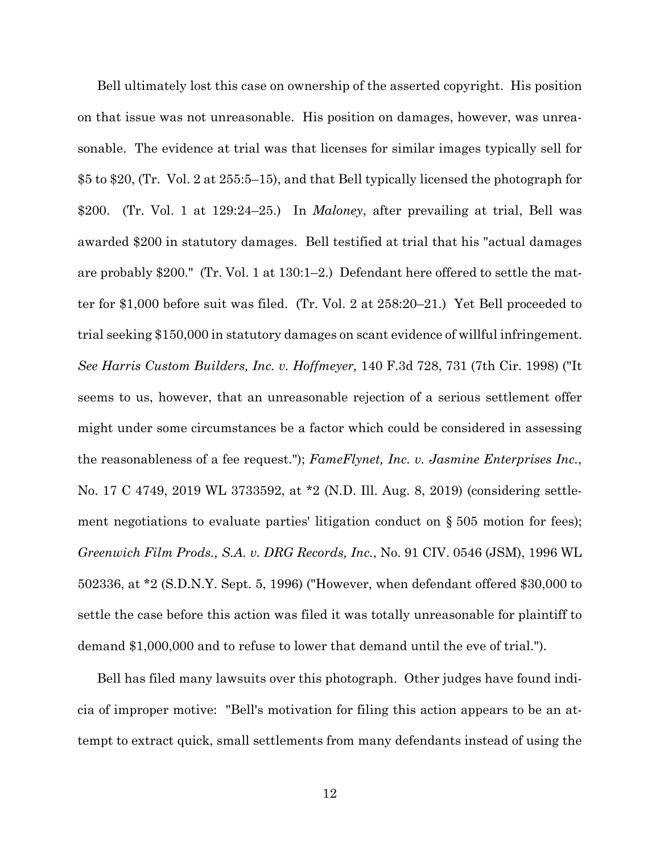Bell ultimately lost this case on ownership of the asserted copyright. His position on that issue was not unreasonable. His position on damages, however, was unreasonable. The evidence at trial was that licenses for similar images typically sell for \$5 to \$20, (Tr. Vol. 2 at 255:5–15), and that Bell typically licensed the photograph for \$200. (Tr. Vol. 1 at 129:24–25.) In *Maloney*, after prevailing at trial, Bell was awarded \$200 in statutory damages.Bell testified at trial that his "actual damages are probably \$200." (Tr. Vol. 1 at 130:1–2.) Defendant here offered to settle the matter for \$1,000 before suit was filed. (Tr. Vol. 2 at 258:20–21.) Yet Bell proceeded to trial seeking \$150,000 in statutory damages on scant evidence of willful infringement. *See Harris Custom Builders, Inc. v. Hoffmeyer,* 140 F.3d 728, 731 (7th Cir. 1998) ("It seems to us, however, that an unreasonable rejection of a serious settlement offer might under some circumstances be a factor which could be considered in assessing the reasonableness of a fee request."); *FameFlynet, Inc. v. Jasmine Enterprises Inc.*, No. 17 C 4749, 2019 WL 3733592, at \*2 (N.D. Ill. Aug. 8, 2019) (considering settlement negotiations to evaluate parties' litigation conduct on § 505 motion for fees); *Greenwich Film Prods., S.A. v. DRG Records, Inc.*, No. 91 CIV. 0546 (JSM), 1996 WL 502336, at \*2 (S.D.N.Y. Sept. 5, 1996) ("However, when defendant offered \$30,000 to settle the case before this action was filed it was totally unreasonable for plaintiff to demand \$1,000,000 and to refuse to lower that demand until the eve of trial.").

Bell has filed many lawsuits over this photograph. Other judges have found indicia of improper motive: "Bell's motivation for filing this action appears to be an attempt to extract quick, small settlements from many defendants instead of using the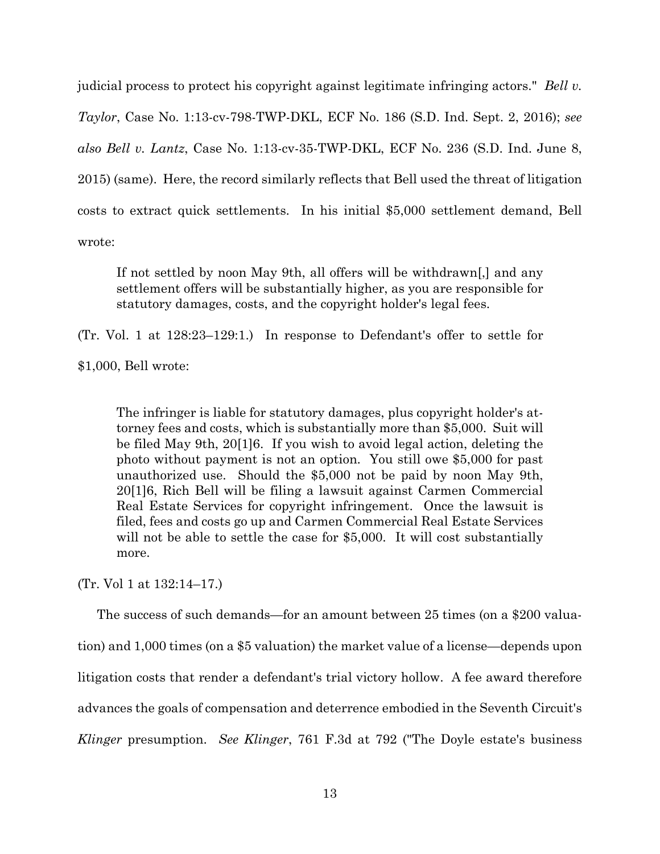judicial process to protect his copyright against legitimate infringing actors." *Bell v. Taylor*, Case No. 1:13-cv-798-TWP-DKL, ECF No. 186 (S.D. Ind. Sept. 2, 2016); *see also Bell v. Lantz*, Case No. 1:13-cv-35-TWP-DKL, ECF No. 236 (S.D. Ind. June 8, 2015) (same). Here, the record similarly reflects that Bell used the threat of litigation costs to extract quick settlements. In his initial \$5,000 settlement demand, Bell wrote:

If not settled by noon May 9th, all offers will be withdrawn[,] and any settlement offers will be substantially higher, as you are responsible for statutory damages, costs, and the copyright holder's legal fees.

(Tr. Vol. 1 at 128:23–129:1.) In response to Defendant's offer to settle for

\$1,000, Bell wrote:

The infringer is liable for statutory damages, plus copyright holder's attorney fees and costs, which is substantially more than \$5,000. Suit will be filed May 9th, 20[1]6. If you wish to avoid legal action, deleting the photo without payment is not an option. You still owe \$5,000 for past unauthorized use. Should the \$5,000 not be paid by noon May 9th, 20[1]6, Rich Bell will be filing a lawsuit against Carmen Commercial Real Estate Services for copyright infringement. Once the lawsuit is filed, fees and costs go up and Carmen Commercial Real Estate Services will not be able to settle the case for \$5,000. It will cost substantially more.

(Tr. Vol 1 at 132:14–17.)

The success of such demands—for an amount between 25 times (on a \$200 valuation) and 1,000 times (on a \$5 valuation) the market value of a license—depends upon litigation costs that render a defendant's trial victory hollow. A fee award therefore advances the goals of compensation and deterrence embodied in the Seventh Circuit's *Klinger* presumption. *See Klinger*, 761 F.3d at 792 ("The Doyle estate's business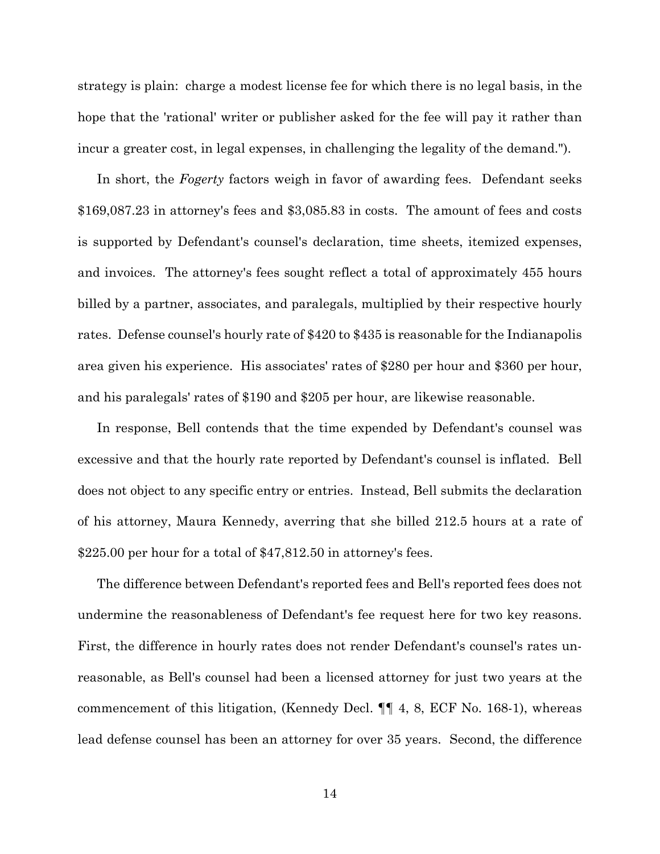strategy is plain: charge a modest license fee for which there is no legal basis, in the hope that the 'rational' writer or publisher asked for the fee will pay it rather than incur a greater cost, in legal expenses, in challenging the legality of the demand.").

In short, the *Fogerty* factors weigh in favor of awarding fees. Defendant seeks \$169,087.23 in attorney's fees and \$3,085.83 in costs. The amount of fees and costs is supported by Defendant's counsel's declaration, time sheets, itemized expenses, and invoices. The attorney's fees sought reflect a total of approximately 455 hours billed by a partner, associates, and paralegals, multiplied by their respective hourly rates. Defense counsel's hourly rate of \$420 to \$435 is reasonable for the Indianapolis area given his experience. His associates' rates of \$280 per hour and \$360 per hour, and his paralegals' rates of \$190 and \$205 per hour, are likewise reasonable.

In response, Bell contends that the time expended by Defendant's counsel was excessive and that the hourly rate reported by Defendant's counsel is inflated. Bell does not object to any specific entry or entries. Instead, Bell submits the declaration of his attorney, Maura Kennedy, averring that she billed 212.5 hours at a rate of \$225.00 per hour for a total of \$47,812.50 in attorney's fees.

The difference between Defendant's reported fees and Bell's reported fees does not undermine the reasonableness of Defendant's fee request here for two key reasons. First, the difference in hourly rates does not render Defendant's counsel's rates unreasonable, as Bell's counsel had been a licensed attorney for just two years at the commencement of this litigation, (Kennedy Decl. ¶¶ 4, 8, ECF No. 168-1), whereas lead defense counsel has been an attorney for over 35 years. Second, the difference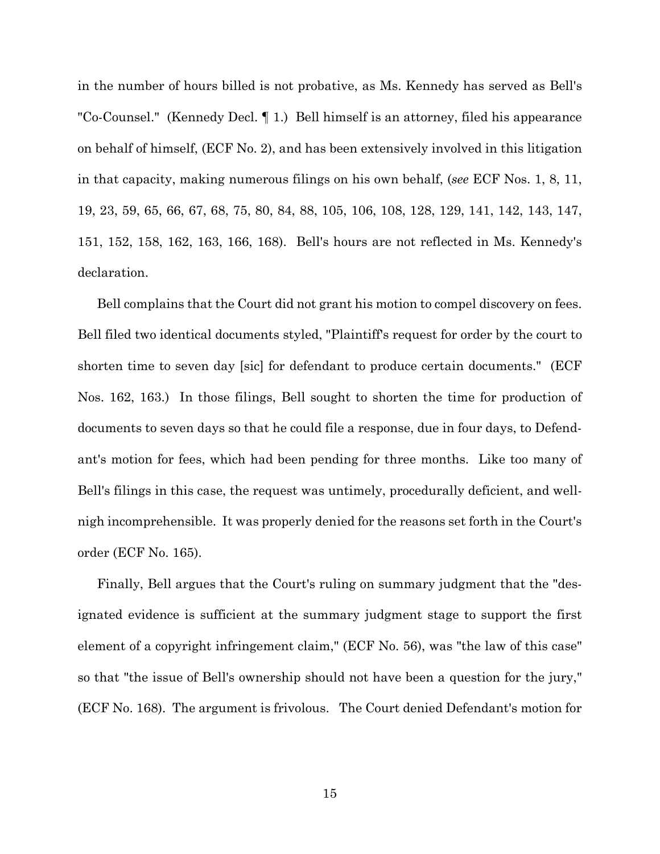in the number of hours billed is not probative, as Ms. Kennedy has served as Bell's "Co-Counsel." (Kennedy Decl. ¶ 1.) Bell himself is an attorney, filed his appearance on behalf of himself, (ECF No. 2), and has been extensively involved in this litigation in that capacity, making numerous filings on his own behalf, (*see* ECF Nos. 1, 8, 11, 19, 23, 59, 65, 66, 67, 68, 75, 80, 84, 88, 105, 106, 108, 128, 129, 141, 142, 143, 147, 151, 152, 158, 162, 163, 166, 168). Bell's hours are not reflected in Ms. Kennedy's declaration.

Bell complains that the Court did not grant his motion to compel discovery on fees. Bell filed two identical documents styled, "Plaintiff's request for order by the court to shorten time to seven day [sic] for defendant to produce certain documents." (ECF Nos. 162, 163.) In those filings, Bell sought to shorten the time for production of documents to seven days so that he could file a response, due in four days, to Defendant's motion for fees, which had been pending for three months. Like too many of Bell's filings in this case, the request was untimely, procedurally deficient, and wellnigh incomprehensible. It was properly denied for the reasons set forth in the Court's order (ECF No. 165).

Finally, Bell argues that the Court's ruling on summary judgment that the "designated evidence is sufficient at the summary judgment stage to support the first element of a copyright infringement claim," (ECF No. 56), was "the law of this case" so that "the issue of Bell's ownership should not have been a question for the jury," (ECF No. 168). The argument is frivolous. The Court denied Defendant's motion for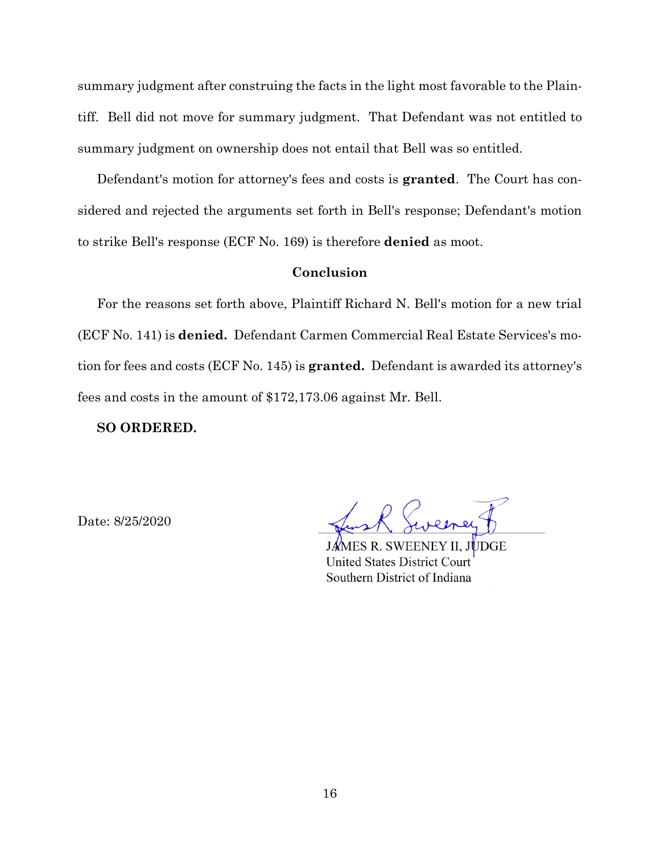summary judgment after construing the facts in the light most favorable to the Plaintiff. Bell did not move for summary judgment. That Defendant was not entitled to summary judgment on ownership does not entail that Bell was so entitled.

Defendant's motion for attorney's fees and costs is **granted**. The Court has considered and rejected the arguments set forth in Bell's response; Defendant's motion to strike Bell's response (ECF No. 169) is therefore **denied** as moot.

## **Conclusion**

For the reasons set forth above, Plaintiff Richard N. Bell's motion for a new trial (ECF No. 141) is **denied.** Defendant Carmen Commercial Real Estate Services's motion for fees and costs (ECF No. 145) is **granted.** Defendant is awarded its attorney's fees and costs in the amount of \$172,173.06 against Mr. Bell.

**SO ORDERED.**

Date: 8/25/2020

AES R. SWEENEY II, JUDGE **United States District Court** Southern District of Indiana